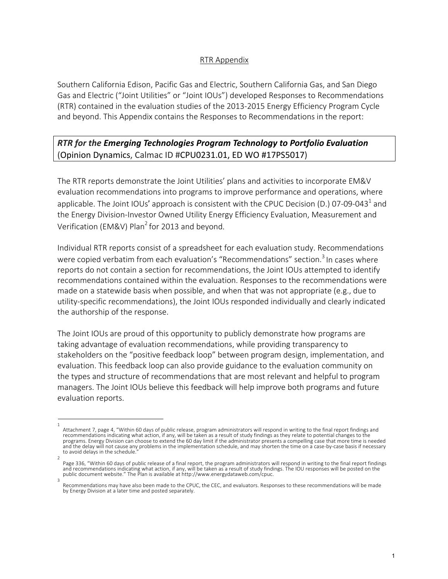### RTR Appendix

Southern California Edison, Pacific Gas and Electric, Southern California Gas, and San Diego Gas and Electric ("Joint Utilities" or "Joint IOUs") developed Responses to Recommendations (RTR) contained in the evaluation studies of the 2013-2015 Energy Efficiency Program Cycle and beyond. This Appendix contains the Responses to Recommendations in the report:

## *RTR for the Emerging Technologies Program Technology to Portfolio Evaluation* (Opinion Dynamics, Calmac ID #CPU0231.01, ED WO #17PS5017)

The RTR reports demonstrate the Joint Utilities' plans and activities to incorporate EM&V evaluation recommendations into programs to improve performance and operations, where applicable. The Joint IOUs' approach is consistent with the CPUC Decision (D.) 07-09-043<sup>1</sup> and the Energy Division-Investor Owned Utility Energy Efficiency Evaluation, Measurement and Verification (EM&V) Plan<sup>2</sup> for 2013 and beyond.

Individual RTR reports consist of a spreadsheet for each evaluation study. Recommendations were copied verbatim from each evaluation's "Recommendations" section.<sup>3</sup> In cases where reports do not contain a section for recommendations, the Joint IOUs attempted to identify recommendations contained within the evaluation. Responses to the recommendations were made on a statewide basis when possible, and when that was not appropriate (e.g., due to utility-specific recommendations), the Joint IOUs responded individually and clearly indicated the authorship of the response.

The Joint IOUs are proud of this opportunity to publicly demonstrate how programs are taking advantage of evaluation recommendations, while providing transparency to stakeholders on the "positive feedback loop" between program design, implementation, and evaluation. This feedback loop can also provide guidance to the evaluation community on the types and structure of recommendations that are most relevant and helpful to program managers. The Joint IOUs believe this feedback will help improve both programs and future evaluation reports.

<sup>1</sup>  Attachment 7, page 4, "Within 60 days of public release, program administrators will respond in writing to the final report findings and recommendations indicating what action, if any, will be taken as a result of study findings as they relate to potential changes to the programs. Energy Division can choose to extend the 60 day limit if the administrator presents a compelling case that more time is needed and the delay will not cause any problems in the implementation schedule, and may shorten the time on a case-by-case basis if necessary to avoid delays in the schedule.

<sup>2</sup>  Page 336, "Within 60 days of public release of a final report, the program administrators will respond in writing to the final report findings and recommendations indicating what action, if any, will be taken as a result of study findings. The IOU responses will be posted on the<br>public document website." The Plan is available at http://www.energydataweb.com/cpuc.

Recommendations may have also been made to the CPUC, the CEC, and evaluators. Responses to these recommendations will be made by Energy Division at a later time and posted separately.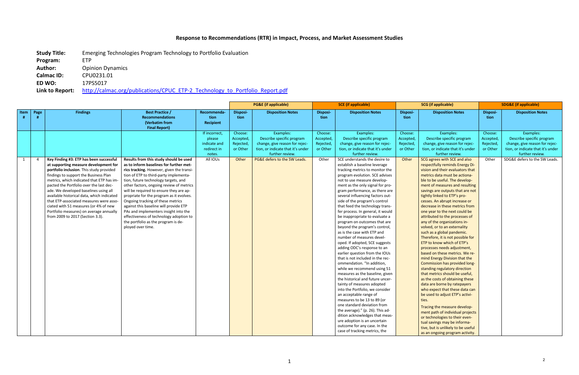## **Response to Recommendations (RTR) in Impact, Process, and Market Assessment Studies**

**Study Title:** Emerging Technologies Program Technology to Portfolio Evaluation

**Program:** ETP

Author: Opinion Dynamics

**Calmac ID:** CPU0231.01<br>**ED WO:** 17PS5017

**ED WO:** 17PS5017

Link to Report: http://calmac.org/publications/CPUC\_ETP-2\_Technology\_to\_Portfolio\_Report.pdf

|      |                |                                            |                                           |                        |                      | <b>PG&amp;E</b> (if applicable)        | <b>SCE</b> (if applicable) |                                                                    | <b>SCG</b> (if applicable) |                                                                 | <b>SDG&amp;E (if applicable)</b> |                                        |
|------|----------------|--------------------------------------------|-------------------------------------------|------------------------|----------------------|----------------------------------------|----------------------------|--------------------------------------------------------------------|----------------------------|-----------------------------------------------------------------|----------------------------------|----------------------------------------|
| Item | Page           | <b>Findings</b>                            | <b>Best Practice /</b>                    | Recommenda-            | Disposi-             | <b>Disposition Notes</b>               | Disposi-                   | <b>Disposition Notes</b>                                           | Disposi-                   | <b>Disposition Notes</b>                                        | Disposi-                         | <b>Disposition Notes</b>               |
|      |                |                                            | <b>Recommendations</b>                    | tion                   | tion                 |                                        | tion                       |                                                                    | tion                       |                                                                 | tion                             |                                        |
|      |                |                                            | (Verbatim from                            | Recipient              |                      |                                        |                            |                                                                    |                            |                                                                 |                                  |                                        |
|      |                |                                            | <b>Final Report)</b>                      |                        |                      |                                        |                            |                                                                    |                            |                                                                 |                                  |                                        |
|      |                |                                            |                                           | If incorrect,          | Choose:<br>Accepted, | Examples:<br>Describe specific program | Choose:                    | Examples:<br>Describe specific program                             | Choose:                    | Examples:<br>Describe specific program                          | Choose:<br>Accepted,             | Examples:<br>Describe specific program |
|      |                |                                            |                                           | please<br>indicate and | Rejected,            | change, give reason for rejec-         | Accepted,<br>Rejected,     | change, give reason for rejec-                                     | Accepted,<br>Rejected,     | change, give reason for rejec-                                  | Rejected,                        | change, give reason for rejec-         |
|      |                |                                            |                                           | redirect in            | or Other             | tion, or indicate that it's under      | or Other                   | tion, or indicate that it's under                                  | or Other                   | tion, or indicate that it's under                               | or Other                         | tion, or indicate that it's under      |
|      |                |                                            |                                           | notes.                 |                      | further review.                        |                            | further review.                                                    |                            | further review.                                                 |                                  | further review.                        |
| 1    | $\overline{a}$ | Key Finding #3: ETP has been successful    | Results from this study should be used    | All IOUs               | Other                | PG&E defers to the SW Leads.           | Other                      | SCE understands the desire to                                      | Other                      | SCG agrees with SCE and also                                    | Other                            | SDG&E defers to the SW Leads.          |
|      |                | at supporting measure development for      | as to inform baselines for further met-   |                        |                      |                                        |                            | establish a baseline leverage                                      |                            | respectfully reminds Energy Di-                                 |                                  |                                        |
|      |                | portfolio inclusion. This study provided   | rics tracking. However, given the transi- |                        |                      |                                        |                            | tracking metrics to monitor the                                    |                            | vision and their evaluators that                                |                                  |                                        |
|      |                | findings to support the Business Plan      | tion of ETP to third-party implementa-    |                        |                      |                                        |                            | program evolution. SCE advises                                     |                            | metrics data must be actiona-                                   |                                  |                                        |
|      |                | metrics, which indicated that ETP has im-  | tion, future technology targets, and      |                        |                      |                                        |                            | not to use measure develop-                                        |                            | ble to be useful. The develop-                                  |                                  |                                        |
|      |                | pacted the Portfolio over the last dec-    | other factors, ongoing review of metrics  |                        |                      |                                        |                            | ment as the only signal for pro-                                   |                            | ment of measures and resulting                                  |                                  |                                        |
|      |                | ade. We developed baselines using all      | will be required to ensure they are ap-   |                        |                      |                                        |                            | gram performance, as there are                                     |                            | savings are outputs that are not                                |                                  |                                        |
|      |                | available historical data, which indicated | propriate for the program as it evolves.  |                        |                      |                                        |                            | several influencing factors out-                                   |                            | tightly linked to ETP's pro-                                    |                                  |                                        |
|      |                | that ETP-associated measures were asso-    | Ongoing tracking of these metrics         |                        |                      |                                        |                            | side of the program's control                                      |                            | cesses. An abrupt increase or                                   |                                  |                                        |
|      |                | ciated with 51 measures (or 4% of new      | against this baseline will provide ETP    |                        |                      |                                        |                            | that feed the technology trans-                                    |                            | decrease in these metrics from                                  |                                  |                                        |
|      |                | Portfolio measures) on average annually    | PAs and implementers insight into the     |                        |                      |                                        |                            | fer process. In general, it would                                  |                            | one year to the next could be                                   |                                  |                                        |
|      |                | from 2009 to 2017 (Section 3.3).           | effectiveness of technology adoption to   |                        |                      |                                        |                            | be inappropriate to evaluate a                                     |                            | attributed to the processes of                                  |                                  |                                        |
|      |                |                                            | the portfolio as the program is de-       |                        |                      |                                        |                            | program on outcomes that are                                       |                            | any of the organizations in-                                    |                                  |                                        |
|      |                |                                            | ployed over time.                         |                        |                      |                                        |                            | beyond the program's control,                                      |                            | volved, or to an externality                                    |                                  |                                        |
|      |                |                                            |                                           |                        |                      |                                        |                            | as is the case with ETP and                                        |                            | such as a global pandemic.                                      |                                  |                                        |
|      |                |                                            |                                           |                        |                      |                                        |                            | number of measures devel-                                          |                            | Therefore, it is not possible for                               |                                  |                                        |
|      |                |                                            |                                           |                        |                      |                                        |                            | oped. If adopted, SCE suggests                                     |                            | ETP to know which of ETP's                                      |                                  |                                        |
|      |                |                                            |                                           |                        |                      |                                        |                            | adding ODC's response to an                                        |                            | processes needs adjustment,                                     |                                  |                                        |
|      |                |                                            |                                           |                        |                      |                                        |                            | earlier question from the IOUs<br>that is not included in the rec- |                            | based on these metrics. We re-<br>mind Energy Division that the |                                  |                                        |
|      |                |                                            |                                           |                        |                      |                                        |                            | ommendation. "In addition,                                         |                            | Commission has provided long-                                   |                                  |                                        |
|      |                |                                            |                                           |                        |                      |                                        |                            | while we recommend using 51                                        |                            | standing regulatory direction                                   |                                  |                                        |
|      |                |                                            |                                           |                        |                      |                                        |                            | measures as the baseline, given                                    |                            | that metrics should be useful,                                  |                                  |                                        |
|      |                |                                            |                                           |                        |                      |                                        |                            | the historical and future uncer-                                   |                            | as the costs of obtaining these                                 |                                  |                                        |
|      |                |                                            |                                           |                        |                      |                                        |                            | tainty of measures adopted                                         |                            | data are borne by ratepayers                                    |                                  |                                        |
|      |                |                                            |                                           |                        |                      |                                        |                            | into the Portfolio, we consider                                    |                            | who expect that these data can                                  |                                  |                                        |
|      |                |                                            |                                           |                        |                      |                                        |                            | an acceptable range of                                             |                            | be used to adjust ETP's activi-                                 |                                  |                                        |
|      |                |                                            |                                           |                        |                      |                                        |                            | measures to be 13 to 89 (or                                        |                            | ties.                                                           |                                  |                                        |
|      |                |                                            |                                           |                        |                      |                                        |                            | one standard deviation from                                        |                            | Tracing the measure develop-                                    |                                  |                                        |
|      |                |                                            |                                           |                        |                      |                                        |                            | the average)." (p. 26). This ad-                                   |                            | ment path of individual projects                                |                                  |                                        |
|      |                |                                            |                                           |                        |                      |                                        |                            | dition acknowledges that meas-                                     |                            | or technologies to their even-                                  |                                  |                                        |
|      |                |                                            |                                           |                        |                      |                                        |                            | ure adoption is an uncertain                                       |                            | tual savings may be informa-                                    |                                  |                                        |
|      |                |                                            |                                           |                        |                      |                                        |                            | outcome for any case. In the                                       |                            | tive, but is unlikely to be useful                              |                                  |                                        |
|      |                |                                            |                                           |                        |                      |                                        |                            | case of tracking metrics, the                                      |                            | as an ongoing program activity.                                 |                                  |                                        |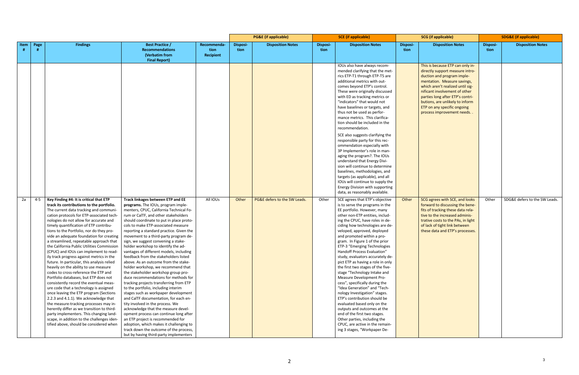|      |         |                                                                                                                                                                                                                                                                                                                                                                                                                                                                                                                                                                                                                                                                                                                                                                                                                                                                                                                                                                                                                                                                                                                     |                                                                                                                                                                                                                                                                                                                                                                                                                                                                                                                                                                                                                                                                                                                                                                                                                                                                                                                                                                                                                                                                                                                               |                                  | <b>PG&amp;E</b> (if applicable) |                              | <b>SCE</b> (if applicable) |                                                                                                                                                                                                                                                                                                                                                                                                                                                                                                                                                                                                                                                                                                                                                                                                                                                                                        | <b>SCG</b> (if applicable) |                                                                                                                                                                                                                                                                                                                                          | <b>SDG&amp;E</b> (if applicable) |                               |
|------|---------|---------------------------------------------------------------------------------------------------------------------------------------------------------------------------------------------------------------------------------------------------------------------------------------------------------------------------------------------------------------------------------------------------------------------------------------------------------------------------------------------------------------------------------------------------------------------------------------------------------------------------------------------------------------------------------------------------------------------------------------------------------------------------------------------------------------------------------------------------------------------------------------------------------------------------------------------------------------------------------------------------------------------------------------------------------------------------------------------------------------------|-------------------------------------------------------------------------------------------------------------------------------------------------------------------------------------------------------------------------------------------------------------------------------------------------------------------------------------------------------------------------------------------------------------------------------------------------------------------------------------------------------------------------------------------------------------------------------------------------------------------------------------------------------------------------------------------------------------------------------------------------------------------------------------------------------------------------------------------------------------------------------------------------------------------------------------------------------------------------------------------------------------------------------------------------------------------------------------------------------------------------------|----------------------------------|---------------------------------|------------------------------|----------------------------|----------------------------------------------------------------------------------------------------------------------------------------------------------------------------------------------------------------------------------------------------------------------------------------------------------------------------------------------------------------------------------------------------------------------------------------------------------------------------------------------------------------------------------------------------------------------------------------------------------------------------------------------------------------------------------------------------------------------------------------------------------------------------------------------------------------------------------------------------------------------------------------|----------------------------|------------------------------------------------------------------------------------------------------------------------------------------------------------------------------------------------------------------------------------------------------------------------------------------------------------------------------------------|----------------------------------|-------------------------------|
| Item | Page    | <b>Findings</b>                                                                                                                                                                                                                                                                                                                                                                                                                                                                                                                                                                                                                                                                                                                                                                                                                                                                                                                                                                                                                                                                                                     | <b>Best Practice /</b><br><b>Recommendations</b><br>(Verbatim from<br><b>Final Report)</b>                                                                                                                                                                                                                                                                                                                                                                                                                                                                                                                                                                                                                                                                                                                                                                                                                                                                                                                                                                                                                                    | Recommenda-<br>tion<br>Recipient | Disposi-<br>tion                | <b>Disposition Notes</b>     | <b>Disposi-</b><br>tion    | <b>Disposition Notes</b>                                                                                                                                                                                                                                                                                                                                                                                                                                                                                                                                                                                                                                                                                                                                                                                                                                                               | <b>Disposi-</b><br>tion    | <b>Disposition Notes</b>                                                                                                                                                                                                                                                                                                                 | Disposi-<br>tion                 | <b>Disposition Notes</b>      |
|      |         |                                                                                                                                                                                                                                                                                                                                                                                                                                                                                                                                                                                                                                                                                                                                                                                                                                                                                                                                                                                                                                                                                                                     |                                                                                                                                                                                                                                                                                                                                                                                                                                                                                                                                                                                                                                                                                                                                                                                                                                                                                                                                                                                                                                                                                                                               |                                  |                                 |                              |                            | IOUs also have always recom-<br>mended clarifying that the met-<br>rics ETP-T1 through ETP-T5 are<br>additional metrics with out-<br>comes beyond ETP's control.<br>These were originally discussed<br>with ED as tracking metrics or<br>"indicators" that would not<br>have baselines or targets, and<br>thus not be used as perfor-<br>mance metrics. This clarifica-<br>tion should be included in the<br>recommendation.<br>SCE also suggests clarifying the<br>responsible party for this rec-                                                                                                                                                                                                                                                                                                                                                                                    |                            | This is because ETP can only in-<br>directly support measure intro-<br>duction and program imple-<br>mentation. Measure savings,<br>which aren't realized until sig-<br>nificant involvement of other<br>parties long after ETP's contri-<br>butions, are unlikely to inform<br>ETP on any specific ongoing<br>process improvement needs |                                  |                               |
|      |         |                                                                                                                                                                                                                                                                                                                                                                                                                                                                                                                                                                                                                                                                                                                                                                                                                                                                                                                                                                                                                                                                                                                     |                                                                                                                                                                                                                                                                                                                                                                                                                                                                                                                                                                                                                                                                                                                                                                                                                                                                                                                                                                                                                                                                                                                               |                                  |                                 |                              |                            | ommendation especially with<br>3P Implementer's role in man-<br>aging the program?. The IOUs<br>understand that Energy Divi-<br>sion will continue to determine<br>baselines, methodologies, and<br>targets (as applicable), and all<br>IOUs will continue to supply the<br>Energy Division with supporting<br>data, as reasonably available.                                                                                                                                                                                                                                                                                                                                                                                                                                                                                                                                          |                            |                                                                                                                                                                                                                                                                                                                                          |                                  |                               |
| 2a   | $4 - 5$ | Key Finding #4: It is critical that ETP<br>track its contributions to the portfolio.<br>The current data tracking and communi-<br>cation protocols for ETP-associated tech-<br>nologies do not allow for accurate and<br>timely quantification of ETP contribu-<br>tions to the Portfolio, nor do they pro-<br>vide an adequate foundation for creating<br>a streamlined, repeatable approach that<br>the California Public Utilities Commission<br>(CPUC) and IOUs can implement to read-<br>ily track progress against metrics in the<br>future. In particular, this analysis relied<br>heavily on the ability to use measure<br>codes to cross-reference the ETP and<br>Portfolio databases, but ETP does not<br>consistently record the eventual meas-<br>ure code that a technology is assigned<br>once leaving the ETP program (Sections<br>2.2.3 and 4.1.1). We acknowledge that<br>the measure-tracking processes may in-<br>herently differ as we transition to third-<br>party implementers. This changing land-<br>scape, in addition to the challenges iden-<br>tified above, should be considered when | Track linkages between ETP and EE<br>programs. The IOUs, program imple-<br>menters, CPUC, California Technical Fo-<br>rum or CalTF, and other stakeholders<br>should coordinate to put in place proto-<br>cols to make ETP-associated measure<br>reporting a standard practice. Given the<br>movement to a third-party program de-<br>sign, we suggest convening a stake-<br>holder workshop to identify the ad-<br>vantages of different models, including<br>feedback from the stakeholders listed<br>above. As an outcome from the stake-<br>holder workshop, we recommend that<br>the stakeholder workshop group pro-<br>duce recommendations for methods for<br>tracking projects transferring from ETP<br>to the portfolio, including interim<br>stages such as workpaper development<br>and CalTF documentation, for each en-<br>tity involved in the process. We<br>acknowledge that the measure devel-<br>opment process can continue long after<br>an ETP project is recommended for<br>adoption, which makes it challenging to<br>track down the outcome of the process,<br>but by having third-party implementers | All IOUs                         | Other                           | PG&E defers to the SW Leads. | Other                      | SCE agrees that ETP's objective<br>is to serve the programs in the<br>EE portfolio. However, many<br>other non-ETP entities, includ-<br>ing the CPUC, have roles in de-<br>ciding how technologies are de-<br>veloped, approved, deployed<br>and promoted within a pro-<br>gram. In Figure 1 of the prior<br>ETP-3 "Emerging Technologies<br>Handoff Process Evaluation"<br>study, evaluators accurately de-<br>pict ETP as having a role in only<br>the first two stages of the five-<br>stage "Technology Intake and<br>Measure Development Pro-<br>cess", specifically during the<br>"Idea Generation" and "Tech-<br>nology Investigation" stages.<br>ETP's contribution should be<br>evaluated based only on the<br>outputs and outcomes at the<br>end of the first two stages.<br>Other parties, including the<br>CPUC, are active in the remain-<br>ing 3 stages, "Workpaper De- | Other                      | SCG agrees with SCE, and looks<br>forward to discussing the bene-<br>fits of tracking these data rela-<br>tive to the increased adminis-<br>trative costs to the PAs, in light<br>of lack of tight link between<br>these data and ETP's processes.                                                                                       | Other                            | SDG&E defers to the SW Leads. |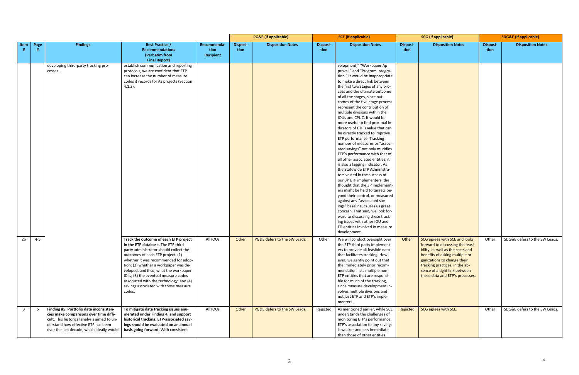|                |         |                                             |                                                                           |             | <b>PG&amp;E</b> (if applicable) |                              | <b>SCE</b> (if applicable) |                                                                  | <b>SCG</b> (if applicable) |                                                               | <b>SDG&amp;E</b> (if applicable) |                               |
|----------------|---------|---------------------------------------------|---------------------------------------------------------------------------|-------------|---------------------------------|------------------------------|----------------------------|------------------------------------------------------------------|----------------------------|---------------------------------------------------------------|----------------------------------|-------------------------------|
| Item           | Page    | <b>Findings</b>                             | <b>Best Practice /</b>                                                    | Recommenda- | <b>Disposi-</b>                 | <b>Disposition Notes</b>     | Disposi-                   | <b>Disposition Notes</b>                                         | Disposi-                   | <b>Disposition Notes</b>                                      | <b>Disposi-</b>                  | <b>Disposition Notes</b>      |
|                | -#      |                                             | <b>Recommendations</b>                                                    | tion        | tion                            |                              | tion                       |                                                                  | tion                       |                                                               | tion                             |                               |
|                |         |                                             | (Verbatim from                                                            | Recipient   |                                 |                              |                            |                                                                  |                            |                                                               |                                  |                               |
|                |         | developing third-party tracking pro-        | <b>Final Report)</b><br>establish communication and reporting             |             |                                 |                              |                            | velopment," "Workpaper Ap-                                       |                            |                                                               |                                  |                               |
|                |         | cesses.                                     | protocols, we are confident that ETP                                      |             |                                 |                              |                            | proval," and "Program Integra-                                   |                            |                                                               |                                  |                               |
|                |         |                                             | can increase the number of measure                                        |             |                                 |                              |                            | tion." It would be inappropriate                                 |                            |                                                               |                                  |                               |
|                |         |                                             | codes it records for its projects (Section                                |             |                                 |                              |                            | to make a direct link between                                    |                            |                                                               |                                  |                               |
|                |         |                                             | $4.1.2$ ).                                                                |             |                                 |                              |                            | the first two stages of any pro-                                 |                            |                                                               |                                  |                               |
|                |         |                                             |                                                                           |             |                                 |                              |                            | cess and the ultimate outcome                                    |                            |                                                               |                                  |                               |
|                |         |                                             |                                                                           |             |                                 |                              |                            | of all the stages, since out-                                    |                            |                                                               |                                  |                               |
|                |         |                                             |                                                                           |             |                                 |                              |                            | comes of the five-stage process                                  |                            |                                                               |                                  |                               |
|                |         |                                             |                                                                           |             |                                 |                              |                            | represent the contribution of                                    |                            |                                                               |                                  |                               |
|                |         |                                             |                                                                           |             |                                 |                              |                            | multiple divisions within the                                    |                            |                                                               |                                  |                               |
|                |         |                                             |                                                                           |             |                                 |                              |                            | IOUs and CPUC. It would be                                       |                            |                                                               |                                  |                               |
|                |         |                                             |                                                                           |             |                                 |                              |                            | more useful to find proximal in-                                 |                            |                                                               |                                  |                               |
|                |         |                                             |                                                                           |             |                                 |                              |                            | dicators of ETP's value that can                                 |                            |                                                               |                                  |                               |
|                |         |                                             |                                                                           |             |                                 |                              |                            | be directly tracked to improve                                   |                            |                                                               |                                  |                               |
|                |         |                                             |                                                                           |             |                                 |                              |                            | ETP performance. Tracking                                        |                            |                                                               |                                  |                               |
|                |         |                                             |                                                                           |             |                                 |                              |                            | number of measures or "associ-                                   |                            |                                                               |                                  |                               |
|                |         |                                             |                                                                           |             |                                 |                              |                            | ated savings" not only muddles                                   |                            |                                                               |                                  |                               |
|                |         |                                             |                                                                           |             |                                 |                              |                            | ETP's performance with that of                                   |                            |                                                               |                                  |                               |
|                |         |                                             |                                                                           |             |                                 |                              |                            | all other associated entities, it                                |                            |                                                               |                                  |                               |
|                |         |                                             |                                                                           |             |                                 |                              |                            | is also a lagging indicator. As                                  |                            |                                                               |                                  |                               |
|                |         |                                             |                                                                           |             |                                 |                              |                            | the Statewide ETP Administra-                                    |                            |                                                               |                                  |                               |
|                |         |                                             |                                                                           |             |                                 |                              |                            | tors vested in the success of                                    |                            |                                                               |                                  |                               |
|                |         |                                             |                                                                           |             |                                 |                              |                            | our 3P ETP implementers, the                                     |                            |                                                               |                                  |                               |
|                |         |                                             |                                                                           |             |                                 |                              |                            | thought that the 3P implement-                                   |                            |                                                               |                                  |                               |
|                |         |                                             |                                                                           |             |                                 |                              |                            | ers might be held to targets be-                                 |                            |                                                               |                                  |                               |
|                |         |                                             |                                                                           |             |                                 |                              |                            | yond their control, or measured                                  |                            |                                                               |                                  |                               |
|                |         |                                             |                                                                           |             |                                 |                              |                            | against any "associated sav-                                     |                            |                                                               |                                  |                               |
|                |         |                                             |                                                                           |             |                                 |                              |                            | ings" baseline, causes us great                                  |                            |                                                               |                                  |                               |
|                |         |                                             |                                                                           |             |                                 |                              |                            | concern. That said, we look for-                                 |                            |                                                               |                                  |                               |
|                |         |                                             |                                                                           |             |                                 |                              |                            | ward to discussing these track-<br>ing issues with other IOU and |                            |                                                               |                                  |                               |
|                |         |                                             |                                                                           |             |                                 |                              |                            | ED entities involved in measure                                  |                            |                                                               |                                  |                               |
|                |         |                                             |                                                                           |             |                                 |                              |                            | development.                                                     |                            |                                                               |                                  |                               |
|                |         |                                             |                                                                           |             |                                 |                              |                            |                                                                  |                            |                                                               |                                  |                               |
| 2 <sub>b</sub> | $4 - 5$ |                                             | Track the outcome of each ETP project                                     | All IOUs    | Other                           | PG&E defers to the SW Leads. | Other                      | We will conduct oversight over                                   | Other                      | SCG agrees with SCE and looks                                 | Other                            | SDG&E defers to the SW Leads. |
|                |         |                                             | in the ETP database. The ETP third-                                       |             |                                 |                              |                            | the ETP third party implement-                                   |                            | forward to discussing the feasi-                              |                                  |                               |
|                |         |                                             | party administrator should collect the                                    |             |                                 |                              |                            | ers to provide all feasible data                                 |                            | bility, as well as the costs and                              |                                  |                               |
|                |         |                                             | outcomes of each ETP project: (1)<br>whether it was recommended for adop- |             |                                 |                              |                            | that facilitates tracking. How-                                  |                            | benefits of asking multiple or-                               |                                  |                               |
|                |         |                                             | tion; (2) whether a workpaper was de-                                     |             |                                 |                              |                            | ever, we gently point out that<br>the immediately prior recom-   |                            | ganizations to change their<br>tracking practices, in the ab- |                                  |                               |
|                |         |                                             | veloped, and if so, what the workpaper                                    |             |                                 |                              |                            | mendation lists multiple non-                                    |                            | sence of a tight link between                                 |                                  |                               |
|                |         |                                             | ID is; (3) the eventual measure codes                                     |             |                                 |                              |                            | ETP entities that are responsi-                                  |                            | these data and ETP's processes.                               |                                  |                               |
|                |         |                                             | associated with the technology; and (4)                                   |             |                                 |                              |                            | ble for much of the tracking,                                    |                            |                                                               |                                  |                               |
|                |         |                                             | savings associated with those measure                                     |             |                                 |                              |                            | since measure development in-                                    |                            |                                                               |                                  |                               |
|                |         |                                             | codes.                                                                    |             |                                 |                              |                            | volves multiple divisions and                                    |                            |                                                               |                                  |                               |
|                |         |                                             |                                                                           |             |                                 |                              |                            | not just ETP and ETP's imple-                                    |                            |                                                               |                                  |                               |
|                |         |                                             |                                                                           |             |                                 |                              |                            | menters.                                                         |                            |                                                               |                                  |                               |
| $\overline{3}$ | - 5     | Finding #5: Portfolio data inconsisten-     | To mitigate data tracking issues enu-                                     | All IOUs    | Other                           | PG&E defers to the SW Leads. | Rejected                   | As mentioned earlier, while SCE                                  | Rejected                   | SCG agrees with SCE.                                          | Other                            | SDG&E defers to the SW Leads. |
|                |         | cies make comparisons over time diffi-      | merated under Finding 4, and support                                      |             |                                 |                              |                            | understands the challenges of                                    |                            |                                                               |                                  |                               |
|                |         | cult. This historical analysis aimed to un- | historical tracking, ETP-associated sav-                                  |             |                                 |                              |                            | monitoring ETP's performance,                                    |                            |                                                               |                                  |                               |
|                |         | derstand how effective ETP has been         | ings should be evaluated on an annual                                     |             |                                 |                              |                            | ETP's association to any savings                                 |                            |                                                               |                                  |                               |
|                |         | over the last decade, which ideally would   | basis going forward. With consistent                                      |             |                                 |                              |                            | is weaker and less immediate                                     |                            |                                                               |                                  |                               |
|                |         |                                             |                                                                           |             |                                 |                              |                            | than those of other entities.                                    |                            |                                                               |                                  |                               |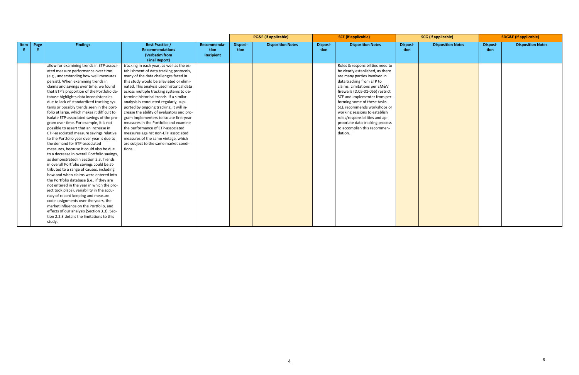|                     |                                                                                                                                                                                                                                                                                                                                                                                                                                                                                                                                                                                                                                                                                                                                                                                                                                                                                                                                                                                                                                                                                                                                                                                                                                                                                                                                                   |                                                                                                                                                                                                                                                                                                                                                                                                                                                                                                                                                                                                                                                                                                        |                                  |                  | <b>PG&amp;E</b> (if applicable) | <b>SCE</b> (if applicable) |                                                                                                                                                                                                                                                                                                                                                                                                                                                        | <b>SCG</b> (if applicable) |                          | <b>SDG&amp;E</b> (if applicable) |                          |
|---------------------|---------------------------------------------------------------------------------------------------------------------------------------------------------------------------------------------------------------------------------------------------------------------------------------------------------------------------------------------------------------------------------------------------------------------------------------------------------------------------------------------------------------------------------------------------------------------------------------------------------------------------------------------------------------------------------------------------------------------------------------------------------------------------------------------------------------------------------------------------------------------------------------------------------------------------------------------------------------------------------------------------------------------------------------------------------------------------------------------------------------------------------------------------------------------------------------------------------------------------------------------------------------------------------------------------------------------------------------------------|--------------------------------------------------------------------------------------------------------------------------------------------------------------------------------------------------------------------------------------------------------------------------------------------------------------------------------------------------------------------------------------------------------------------------------------------------------------------------------------------------------------------------------------------------------------------------------------------------------------------------------------------------------------------------------------------------------|----------------------------------|------------------|---------------------------------|----------------------------|--------------------------------------------------------------------------------------------------------------------------------------------------------------------------------------------------------------------------------------------------------------------------------------------------------------------------------------------------------------------------------------------------------------------------------------------------------|----------------------------|--------------------------|----------------------------------|--------------------------|
| <b>Item</b><br>Page | <b>Findings</b>                                                                                                                                                                                                                                                                                                                                                                                                                                                                                                                                                                                                                                                                                                                                                                                                                                                                                                                                                                                                                                                                                                                                                                                                                                                                                                                                   | <b>Best Practice /</b><br><b>Recommendations</b><br>(Verbatim from<br><b>Final Report)</b>                                                                                                                                                                                                                                                                                                                                                                                                                                                                                                                                                                                                             | Recommenda-<br>tion<br>Recipient | Disposi-<br>tion | <b>Disposition Notes</b>        | <b>Disposi-</b><br>tion    | <b>Disposition Notes</b>                                                                                                                                                                                                                                                                                                                                                                                                                               | Disposi-<br>tion           | <b>Disposition Notes</b> | Disposi-<br>tion                 | <b>Disposition Notes</b> |
|                     | allow for examining trends in ETP-associ-<br>ated measure performance over time<br>(e.g., understanding how well measures<br>persist). When examining trends in<br>claims and savings over time, we found<br>that ETP's proportion of the Portfolio da-<br>tabase highlights data inconsistencies<br>due to lack of standardized tracking sys-<br>tems or possibly trends seen in the port-<br>folio at large, which makes it difficult to<br>isolate ETP-associated savings of the pro-<br>gram over time. For example, it is not<br>possible to assert that an increase in<br>ETP-associated measure savings relative<br>to the Portfolio year over year is due to<br>the demand for ETP-associated<br>measures, because it could also be due<br>to a decrease in overall Portfolio savings,<br>as demonstrated in Section 3.3. Trends<br>in overall Portfolio savings could be at-<br>tributed to a range of causes, including<br>how and when claims were entered into<br>the Portfolio database (i.e., if they are<br>not entered in the year in which the pro-<br>ject took place), variability in the accu-<br>racy of record keeping and measure<br>code assignments over the years, the<br>market influence on the Portfolio, and<br>effects of our analysis (Section 3.3). Sec-<br>tion 2.2.3 details the limitations to this<br>study. | tracking in each year, as well as the es-<br>tablishment of data tracking protocols,<br>many of the data challenges faced in<br>this study would be alleviated or elimi-<br>nated. This analysis used historical data<br>across multiple tracking systems to de-<br>termine historical trends. If a similar<br>analysis is conducted regularly, sup-<br>ported by ongoing tracking, it will in-<br>crease the ability of evaluators and pro-<br>gram implementers to isolate first-year<br>measures in the Portfolio and examine<br>the performance of ETP-associated<br>measures against non-ETP associated<br>measures of the same vintage, which<br>are subject to the same market condi-<br>tions. |                                  |                  |                                 |                            | Roles & responsibilities need to<br>be clearly established, as there<br>are many parties involved in<br>data tracking from ETP to<br>claims. Limitations per EM&V<br>firewalls (D.05-01-055) restrict<br>SCE and Implementer from per-<br>forming some of these tasks.<br>SCE recommends workshops or<br>working sessions to establish<br>roles/responsibilities and ap-<br>propriate data tracking process<br>to accomplish this recommen-<br>dation. |                            |                          |                                  |                          |